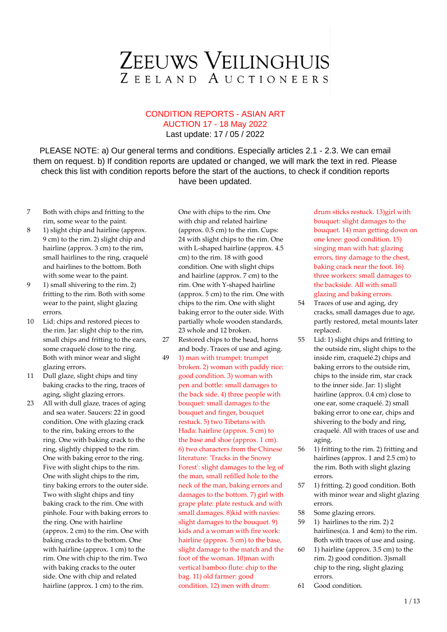#### CONDITION REPORTS - ASIAN ART AUCTION 17 - 18 May 2022

Last update: 17 / 05 / 2022

PLEASE NOTE: a) Our general terms and conditions. Especially articles 2.1 - 2.3. We can email them on request. b) If condition reports are updated or changed, we will mark the text in red. Please check this list with condition reports before the start of the auctions, to check if condition reports have been updated.

- 7 Both with chips and fritting to the rim, some wear to the paint.
- 8 1) slight chip and hairline (approx. 9 cm) to the rim. 2) slight chip and hairline (approx. 3 cm) to the rim, small hairlines to the ring, craquelé and hairlines to the bottom. Both with some wear to the paint.
- 9 1) small shivering to the rim. 2) fritting to the rim. Both with some wear to the paint, slight glazing errors.
- 10 Lid: chips and restored pieces to the rim. Jar: slight chip to the rim, small chips and fritting to the ears, some craquelé close to the ring. Both with minor wear and slight glazing errors.
- 11 Dull glaze, slight chips and tiny baking cracks to the ring, traces of aging, slight glazing errors.
- 23 All with dull glaze, traces of aging and sea water. Saucers: 22 in good condition. One with glazing crack to the rim, baking errors to the ring. One with baking crack to the ring, slightly chipped to the rim. One with baking error to the ring. Five with slight chips to the rim. One with slight chips to the rim, tiny baking errors to the outer side. Two with slight chips and tiny baking crack to the rim. One with pinhole. Four with baking errors to the ring. One with hairline (approx. 2 cm) to the rim. One with baking cracks to the bottom. One with hairline (approx. 1 cm) to the rim. One with chip to the rim. Two with baking cracks to the outer side. One with chip and related hairline (approx. 1 cm) to the rim.

One with chips to the rim. One with chip and related hairline (approx. 0.5 cm) to the rim. Cups: 24 with slight chips to the rim. One with L-shaped hairline (approx. 4.5 cm) to the rim. 18 with good condition. One with slight chips and hairline (approx. 7 cm) to the rim. One with Y-shaped hairline (approx. 5 cm) to the rim. One with chips to the rim. One with slight baking error to the outer side. With partially whole wooden standards, 23 whole and 12 broken.

- 27 Restored chips to the head, horns and body. Traces of use and aging.
- 49 1) man with trumpet: trumpet broken. 2) woman with paddy rice: good condition. 3) woman with pen and bottle: small damages to the back side. 4) three people with bouquet: small damages to the bouquet and finger, bouquet restuck. 5) two Tibetans with Hada: hairline (approx. 5 cm) to the base and shoe (approx. 1 cm). 6) two characters from the Chinese literature: 'Tracks in the Snowy Forest': slight damages to the leg of the man, small refilled hole to the neck of the man, baking errors and damages to the bottom. 7) girl with grape plate: plate restuck and with small damages. 8)kid with navies: slight damages to the bouquet. 9) kids and a woman with fire work: hairline (approx. 5 cm) to the base, slight damage to the match and the foot of the woman. 10)man with vertical bamboo flute: chip to the bag. 11) old farmer: good condition. 12) men with drum:

drum sticks restuck. 13)girl with bouquet: slight damages to the bouquet. 14) man getting down on one knee: good condition. 15) singing man with hat: glazing errors, tiny damage to the chest, baking crack near the foot. 16) three workers: small damages to the backside. All with small glazing and baking errors.

- 54 Traces of use and aging, dry cracks, small damages due to age, partly restored, metal mounts later replaced.
- 55 Lid: 1) slight chips and fritting to the outside rim, slight chips to the inside rim, craquelé.2) chips and baking errors to the outside rim, chips to the inside rim, star crack to the inner side. Jar: 1) slight hairline (approx. 0.4 cm) close to one ear, some craquelé. 2) small baking error to one ear, chips and shivering to the body and ring, craquelé. All with traces of use and aging.
- 56 1) fritting to the rim. 2) fritting and hairlines (approx. 1 and 2.5 cm) to the rim. Both with slight glazing errors.
- 57 1) fritting. 2) good condition. Both with minor wear and slight glazing errors.
- 58 Some glazing errors.
- 59 1) hairlines to the rim. 2) 2 hairlines(ca. 1 and 4cm) to the rim. Both with traces of use and using.
- 60 1) hairline (approx. 3.5 cm) to the rim. 2) good condition. 3)small chip to the ring, slight glazing errors.
- 61 Good condition.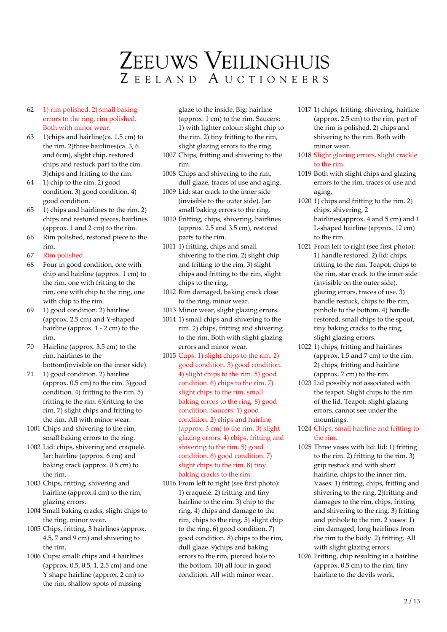- 62 1) rim polished. 2) small baking errors to the ring, rim polished. Both with minor wear.
- 63 1)chips and hairline(ca. 1.5 cm) to the rim. 2)three hairlines(ca. 3, 6 and 6cm), slight chip, restored chips and restuck part to the rim. 3)chips and fritting to the rim.
- 64 1) chip to the rim. 2) good condition. 3) good condition. 4) good condition.
- 65 1) chips and hairlines to the rim. 2) chips and restored pieces, hairlines (approx. 1 and 2 cm) to the rim.
- 66 Rim polished, restored piece to the rim.
- 67 Rim polished.
- 68 Four in good condition, one with chip and hairline (approx. 1 cm) to the rim, one with fritting to the rim, one with chip to the ring, one with chip to the rim.
- 69 1) good condition. 2) hairline (approx. 2.5 cm) and Y-shaped hairline (approx. 1 - 2 cm) to the rim.
- 70 Hairline (approx. 3.5 cm) to the rim, hairlines to the bottom(invisible on the inner side).
- 71 1) good condition. 2) hairline (approx.  $0.5$  cm) to the rim. 3)good condition. 4) fritting to the rim. 5) fritting to the rim. 6)fritting to the rim. 7) slight chips and fritting to the rim. All with minor wear.
- 1001 Chips and shivering to the rim, small baking errors to the ring.
- 1002 Lid: chips, shivering and craquelé. Jar: hairline (approx. 6 cm) and baking crack (approx. 0.5 cm) to the rim.
- 1003 Chips, fritting, shivering and hairline (approx.4 cm) to the rim, glazing errors.
- 1004 Small baking cracks, slight chips to the ring, minor wear.
- 1005 Chips, fritting, 3 hairlines (approx. 4.5, 7 and 9 cm) and shivering to the rim.
- 1006 Cups: small: chips and 4 hairlines (approx. 0.5, 0.5, 1, 2.5 cm) and one Y shape hairline (approx. 2 cm) to the rim, shallow spots of missing

glaze to the inside. Big: hairline (approx. 1 cm) to the rim. Saucers: 1) with lighter colour: slight chip to the rim. 2) tiny fritting to the rim, slight glazing errors to the ring.

- 1007 Chips, fritting and shivering to the rim.
- 1008 Chips and shivering to the rim, dull glaze, traces of use and aging.
- 1009 Lid: star crack to the inner side (invisible to the outer side). Jar: small baking errors to the ring.
- 1010 Fritting, chips, shivering, hairlines (approx. 2.5 and 3.5 cm), restored parts to the rim.
- 1011 1) fritting, chips and small shivering to the rim. 2) slight chip and fritting to the rim. 3) slight chips and fritting to the rim, slight chips to the ring.
- 1012 Rim damaged, baking crack close to the ring, minor wear.
- 1013 Minor wear, slight glazing errors.
- 1014 1) small chips and shivering to the rim. 2) chips, fritting and shivering to the rim. Both with slight glazing errors and minor wear.
- 1015 Cups: 1) slight chips to the rim. 2) good condition. 3) good condition. 4) slight chips to the rim. 5) good condition. 6) chips to the rim. 7) slight chips to the rim, small baking errors to the ring. 8) good condition. Saucers: 1) good condition. 2) chips and hairline (approx. 3 cm) to the rim. 3) slight glazing errors. 4) chips, fritting and shivering to the rim. 5) good condition. 6) good condition. 7) slight chips to the rim. 8) tiny baking cracks to the rim.
- 1016 From left to right (see first photo): 1) craquelé. 2) fritting and tiny hairline to the rim. 3) chip to the ring. 4) chips and damage to the rim, chips to the ring. 5) slight chip to the ring. 6) good condition. 7) good condition. 8) chips to the rim, dull glaze. 9)chips and baking errors to the rim, pierced hole to the bottom. 10) all four in good condition. All with minor wear.
- 1017 1) chips, fritting, shivering, hairline (approx. 2.5 cm) to the rim, part of the rim is polished. 2) chips and shivering to the rim. Both with minor wear.
- 1018 Slight glazing errors, slight crackle to the rim.
- 1019 Both with slight chips and glazing errors to the rim, traces of use and aging.
- 1020 1) chips and fritting to the rim. 2) chips, shivering, 2 hairlines(approx. 4 and 5 cm) and 1 L-shaped hairline (approx. 12 cm) to the rim.
- 1021 From left to right (see first photo): 1) handle restored. 2) lid: chips, fritting to the rim. Teapot: chips to the rim, star crack to the inner side (invisible on the outer side), glazing errors, traces of use. 3) handle restuck, chips to the rim, pinhole to the bottom. 4) handle restored, small chips to the spout, tiny baking cracks to the ring, slight glazing errors.
- 1022 1) chips, fritting and hairlines (approx. 1.5 and 7 cm) to the rim. 2) chips, fritting and hairline (approx. 7 cm) to the rim.
- 1023 Lid possibly not associated with the teapot. Slight chips to the rim of the lid. Teapot: slight glazing errors, cannot see under the mountings.
- 1024 Chips, small hairline and fritting to the rim.
- 1025 Three vases with lid: lid: 1) fritting to the rim. 2) fritting to the rim. 3) grip restuck and with short hairline, chips to the inner rim. Vases: 1) fritting, chips, fritting and shivering to the ring. 2)fritting and damages to the rim, chips, fritting and shivering to the ring. 3) fritting and pinhole to the rim. 2 vases: 1) rim damaged, long hairlines from the rim to the body. 2) fritting. All with slight glazing errors.
- 1026 Fritting, chip resulting in a hairline (approx. 0.5 cm) to the rim, tiny hairline to the devils work.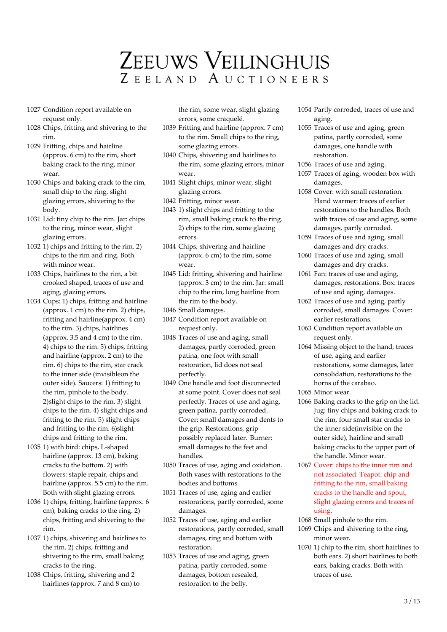- 1027 Condition report available on request only.
- 1028 Chips, fritting and shivering to the rim.
- 1029 Fritting, chips and hairline (approx. 6 cm) to the rim, short baking crack to the ring, minor wear.
- 1030 Chips and baking crack to the rim, small chip to the ring, slight glazing errors, shivering to the body.
- 1031 Lid: tiny chip to the rim. Jar: chips to the ring, minor wear, slight glazing errors.
- 1032 1) chips and fritting to the rim. 2) chips to the rim and ring. Both with minor wear.
- 1033 Chips, hairlines to the rim, a bit crooked shaped, traces of use and aging, glazing errors.
- 1034 Cups: 1) chips, fritting and hairline (approx. 1 cm) to the rim. 2) chips, fritting and hairline(approx. 4 cm) to the rim. 3) chips, hairlines (approx. 3.5 and 4 cm) to the rim. 4) chips to the rim. 5) chips, fritting and hairline (approx. 2 cm) to the rim. 6) chips to the rim, star crack to the inner side (invisibleon the outer side). Saucers: 1) fritting to the rim, pinhole to the body. 2)slight chips to the rim. 3) slight chips to the rim. 4) slight chips and fritting to the rim. 5) slight chips and fritting to the rim. 6)slight chips and fritting to the rim.
- 1035 1) with bird: chips, L-shaped hairline (approx. 13 cm), baking cracks to the bottom. 2) with flowers: staple repair, chips and hairline (approx. 5.5 cm) to the rim. Both with slight glazing errors.
- 1036 1) chips, fritting, hairline (approx. 6 cm), baking cracks to the ring. 2) chips, fritting and shivering to the rim.
- 1037 1) chips, shivering and hairlines to the rim. 2) chips, fritting and shivering to the rim, small baking cracks to the ring.
- 1038 Chips, fritting, shivering and 2 hairlines (approx. 7 and 8 cm) to

the rim, some wear, slight glazing errors, some craquelé.

- 1039 Fritting and hairline (approx. 7 cm) to the rim. Small chips to the ring, some glazing errors.
- 1040 Chips, shivering and hairlines to the rim, some glazing errors, minor wear.
- 1041 Slight chips, minor wear, slight glazing errors.
- 1042 Fritting, minor wear.
- 1043 1) slight chips and fritting to the rim, small baking crack to the ring. 2) chips to the rim, some glazing errors.
- 1044 Chips, shivering and hairline (approx. 6 cm) to the rim, some wear
- 1045 Lid: fritting, shivering and hairline (approx. 3 cm) to the rim. Jar: small chip to the rim, long hairline from the rim to the body.
- 1046 Small damages.
- 1047 Condition report available on request only.
- 1048 Traces of use and aging, small damages, partly corroded, green patina, one foot with small restoration, lid does not seal perfectly.
- 1049 One handle and foot disconnected at some point. Cover does not seal perfectly. Traces of use and aging, green patina, partly corroded. Cover: small damages and dents to the grip. Restorations, grip possibly replaced later. Burner: small damages to the feet and handles.
- 1050 Traces of use, aging and oxidation. Both vases with restorations to the bodies and bottoms.
- 1051 Traces of use, aging and earlier restorations, partly corroded, some damages.
- 1052 Traces of use, aging and earlier restorations, partly corroded, small damages, ring and bottom with restoration.
- 1053 Traces of use and aging, green patina, partly corroded, some damages, bottom resealed, restoration to the belly.
- 1054 Partly corroded, traces of use and aging.
- 1055 Traces of use and aging, green patina, partly corroded, some damages, one handle with restoration.
- 1056 Traces of use and aging.
- 1057 Traces of aging, wooden box with damages.
- 1058 Cover: with small restoration. Hand warmer: traces of earlier restorations to the handles. Both with traces of use and aging, some damages, partly corroded.
- 1059 Traces of use and aging, small damages and dry cracks.
- 1060 Traces of use and aging, small damages and dry cracks.
- 1061 Fan: traces of use and aging, damages, restorations. Box: traces of use and aging, damages.
- 1062 Traces of use and aging, partly corroded, small damages. Cover: earlier restorations.
- 1063 Condition report available on request only.
- 1064 Missing object to the hand, traces of use, aging and earlier restorations, some damages, later consolidation, restorations to the horns of the carabao.
- 1065 Minor wear.
- 1066 Baking cracks to the grip on the lid. Jug: tiny chips and baking crack to the rim, four small star cracks to the inner side(invisible on the outer side), hairline and small baking cracks to the upper part of the handle. Minor wear.
- 1067 Cover: chips to the inner rim and not associated. Teapot: chip and fritting to the rim, small baking cracks to the handle and spout, slight glazing errors and traces of using.
- 1068 Small pinhole to the rim.
- 1069 Chips and shivering to the ring, minor wear.
- 1070 1) chip to the rim, short hairlines to both ears. 2) short hairlines to both ears, baking cracks. Both with traces of use.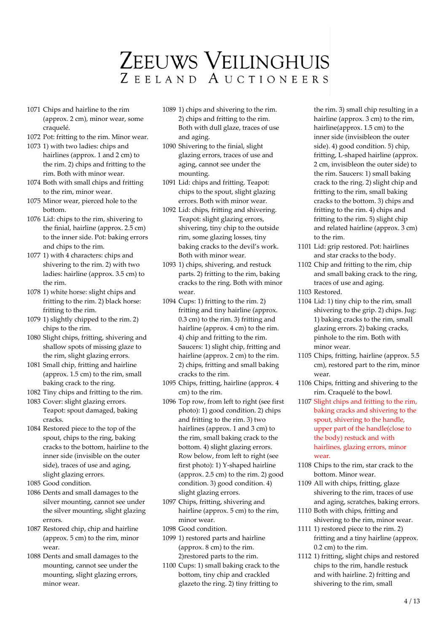- 1071 Chips and hairline to the rim (approx. 2 cm), minor wear, some craquelé.
- 1072 Pot: fritting to the rim. Minor wear.
- 1073 1) with two ladies: chips and hairlines (approx. 1 and 2 cm) to the rim. 2) chips and fritting to the rim. Both with minor wear.
- 1074 Both with small chips and fritting to the rim, minor wear.
- 1075 Minor wear, pierced hole to the bottom.
- 1076 Lid: chips to the rim, shivering to the finial, hairline (approx. 2.5 cm) to the inner side. Pot: baking errors and chips to the rim.
- 1077 1) with 4 characters: chips and shivering to the rim. 2) with two ladies: hairline (approx. 3.5 cm) to the rim.
- 1078 1) white horse: slight chips and fritting to the rim. 2) black horse: fritting to the rim.
- 1079 1) slightly chipped to the rim. 2) chips to the rim.
- 1080 Slight chips, fritting, shivering and shallow spots of missing glaze to the rim, slight glazing errors.
- 1081 Small chip, fritting and hairline (approx. 1.5 cm) to the rim, small baking crack to the ring.
- 1082 Tiny chips and fritting to the rim.

1083 Cover: slight glazing errors. Teapot: spout damaged, baking cracks.

1084 Restored piece to the top of the spout, chips to the ring, baking cracks to the bottom, hairline to the inner side (invisible on the outer side), traces of use and aging, slight glazing errors.

1085 Good condition.

- 1086 Dents and small damages to the silver mounting, cannot see under the silver mounting, slight glazing errors.
- 1087 Restored chip, chip and hairline (approx. 5 cm) to the rim, minor wear.
- 1088 Dents and small damages to the mounting, cannot see under the mounting, slight glazing errors, minor wear.
- 1089 1) chips and shivering to the rim. 2) chips and fritting to the rim. Both with dull glaze, traces of use and aging.
- 1090 Shivering to the finial, slight glazing errors, traces of use and aging, cannot see under the mounting.
- 1091 Lid: chips and fritting. Teapot: chips to the spout, slight glazing errors. Both with minor wear.
- 1092 Lid: chips, fritting and shivering. Teapot: slight glazing errors, shivering, tiny chip to the outside rim, some glazing losses, tiny baking cracks to the devil's work. Both with minor wear.
- 1093 1) chips, shivering, and restuck parts. 2) fritting to the rim, baking cracks to the ring. Both with minor wear.
- 1094 Cups: 1) fritting to the rim. 2) fritting and tiny hairline (approx. 0.3 cm) to the rim. 3) fritting and hairline (approx. 4 cm) to the rim. 4) chip and fritting to the rim. Saucers: 1) slight chip, fritting and hairline (approx. 2 cm) to the rim. 2) chips, fritting and small baking cracks to the rim.
- 1095 Chips, fritting, hairline (approx. 4 cm) to the rim.
- 1096 Top row, from left to right (see first photo): 1) good condition. 2) chips and fritting to the rim. 3) two hairlines (approx. 1 and 3 cm) to the rim, small baking crack to the bottom. 4) slight glazing errors. Row below, from left to right (see first photo): 1) Y-shaped hairline (approx. 2.5 cm) to the rim. 2) good condition. 3) good condition. 4) slight glazing errors.
- 1097 Chips, fritting, shivering and hairline (approx. 5 cm) to the rim, minor wear.
- 1098 Good condition.
- 1099 1) restored parts and hairline (approx. 8 cm) to the rim. 2)restored parts to the rim.
- 1100 Cups: 1) small baking crack to the bottom, tiny chip and crackled glazeto the ring. 2) tiny fritting to

the rim. 3) small chip resulting in a hairline (approx. 3 cm) to the rim, hairline(approx. 1.5 cm) to the inner side (invisibleon the outer side). 4) good condition. 5) chip, fritting, L-shaped hairline (approx. 2 cm, invisibleon the outer side) to the rim. Saucers: 1) small baking crack to the ring. 2) slight chip and fritting to the rim, small baking cracks to the bottom. 3) chips and fritting to the rim. 4) chips and fritting to the rim. 5) slight chip and related hairline (approx. 3 cm) to the rim.

- 1101 Lid: grip restored. Pot: hairlines and star cracks to the body.
- 1102 Chip and fritting to the rim, chip and small baking crack to the ring, traces of use and aging.

1103 Restored.

- 1104 Lid: 1) tiny chip to the rim, small shivering to the grip. 2) chips. Jug: 1) baking cracks to the rim, small glazing errors. 2) baking cracks, pinhole to the rim. Both with minor wear.
- 1105 Chips, fritting, hairline (approx. 5.5 cm), restored part to the rim, minor wear.
- 1106 Chips, fritting and shivering to the rim. Craquelé to the bowl.
- 1107 Slight chips and fritting to the rim, baking cracks and shivering to the spout, shivering to the handle, upper part of the handle(close to the body) restuck and with hairlines, glazing errors, minor wear.
- 1108 Chips to the rim, star crack to the bottom. Minor wear.
- 1109 All with chips, fritting, glaze shivering to the rim, traces of use and aging, scratches, baking errors.
- 1110 Both with chips, fritting and shivering to the rim, minor wear.
- 1111 1) restored piece to the rim. 2) fritting and a tiny hairline (approx. 0.2 cm) to the rim.
- 1112 1) fritting, slight chips and restored chips to the rim, handle restuck and with hairline. 2) fritting and shivering to the rim, small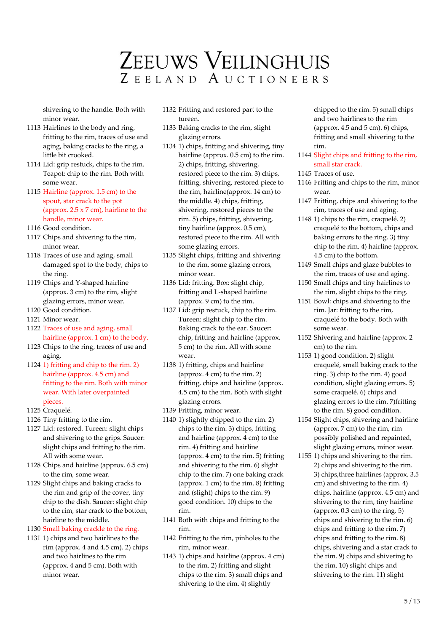shivering to the handle. Both with minor wear.

- 1113 Hairlines to the body and ring, fritting to the rim, traces of use and aging, baking cracks to the ring, a little bit crooked.
- 1114 Lid: grip restuck, chips to the rim. Teapot: chip to the rim. Both with some wear.
- 1115 Hairline (approx. 1.5 cm) to the spout, star crack to the pot (approx.  $2.5 \times 7$  cm), hairline to the handle, minor wear.
- 1116 Good condition.
- 1117 Chips and shivering to the rim, minor wear.
- 1118 Traces of use and aging, small damaged spot to the body, chips to the ring.
- 1119 Chips and Y-shaped hairline (approx. 3 cm) to the rim, slight glazing errors, minor wear.
- 1120 Good condition.
- 1121 Minor wear.
- 1122 Traces of use and aging, small hairline (approx. 1 cm) to the body.
- 1123 Chips to the ring, traces of use and aging.
- 1124 1) fritting and chip to the rim. 2) hairline (approx. 4.5 cm) and fritting to the rim. Both with minor wear. With later overpainted pieces.
- 1125 Craquelé.
- 1126 Tiny fritting to the rim.
- 1127 Lid: restored. Tureen: slight chips and shivering to the grips. Saucer: slight chips and fritting to the rim. All with some wear.
- 1128 Chips and hairline (approx. 6.5 cm) to the rim, some wear.
- 1129 Slight chips and baking cracks to the rim and grip of the cover, tiny chip to the dish. Saucer: slight chip to the rim, star crack to the bottom, hairline to the middle.
- 1130 Small baking crackle to the ring.
- 1131 1) chips and two hairlines to the rim (approx. 4 and 4.5 cm). 2) chips and two hairlines to the rim (approx. 4 and 5 cm). Both with minor wear.
- 1132 Fritting and restored part to the tureen.
- 1133 Baking cracks to the rim, slight glazing errors.
- 1134 1) chips, fritting and shivering, tiny hairline (approx. 0.5 cm) to the rim. 2) chips, fritting, shivering, restored piece to the rim. 3) chips, fritting, shivering, restored piece to the rim, hairline(approx. 14 cm) to the middle. 4) chips, fritting, shivering, restored pieces to the rim. 5) chips, fritting, shivering, tiny hairline (approx. 0.5 cm), restored piece to the rim. All with some glazing errors.
- 1135 Slight chips, fritting and shivering to the rim, some glazing errors, minor wear.
- 1136 Lid: fritting. Box: slight chip, fritting and L-shaped hairline (approx. 9 cm) to the rim.
- 1137 Lid: grip restuck, chip to the rim. Tureen: slight chip to the rim. Baking crack to the ear. Saucer: chip, fritting and hairline (approx. 5 cm) to the rim. All with some wear.
- 1138 1) fritting, chips and hairline (approx. 4 cm) to the rim. 2) fritting, chips and hairline (approx. 4.5 cm) to the rim. Both with slight glazing errors.
- 1139 Fritting, minor wear.
- 1140 1) slightly chipped to the rim. 2) chips to the rim. 3) chips, fritting and hairline (approx. 4 cm) to the rim. 4) fritting and hairline (approx. 4 cm) to the rim. 5) fritting and shivering to the rim. 6) slight chip to the rim. 7) one baking crack (approx. 1 cm) to the rim. 8) fritting and (slight) chips to the rim. 9) good condition. 10) chips to the rim.
- 1141 Both with chips and fritting to the rim.
- 1142 Fritting to the rim, pinholes to the rim, minor wear.
- 1143 1) chips and hairline (approx. 4 cm) to the rim. 2) fritting and slight chips to the rim. 3) small chips and shivering to the rim. 4) slightly

chipped to the rim. 5) small chips and two hairlines to the rim (approx.  $4.5$  and  $5$  cm).  $6$ ) chips, fritting and small shivering to the rim.

- 1144 Slight chips and fritting to the rim, small star crack.
- 1145 Traces of use.
- 1146 Fritting and chips to the rim, minor wear.
- 1147 Fritting, chips and shivering to the rim, traces of use and aging.
- 1148 1) chips to the rim, craquelé. 2) craquelé to the bottom, chips and baking errors to the ring. 3) tiny chip to the rim. 4) hairline (approx. 4.5 cm) to the bottom.
- 1149 Small chips and glaze bubbles to the rim, traces of use and aging.
- 1150 Small chips and tiny hairlines to the rim, slight chips to the ring.
- 1151 Bowl: chips and shivering to the rim. Jar: fritting to the rim, craquelé to the body. Both with some wear.
- 1152 Shivering and hairline (approx. 2 cm) to the rim.
- 1153 1) good condition. 2) slight craquelé, small baking crack to the ring. 3) chip to the rim. 4) good condition, slight glazing errors. 5) some craquelé. 6) chips and glazing errors to the rim. 7)fritting to the rim. 8) good condition.
- 1154 Slight chips, shivering and hairline (approx. 7 cm) to the rim, rim possibly polished and repainted, slight glazing errors, minor wear.
- 1155 1) chips and shivering to the rim. 2) chips and shivering to the rim. 3) chips,three hairlines (approx. 3.5 cm) and shivering to the rim. 4) chips, hairline (approx. 4.5 cm) and shivering to the rim, tiny hairline (approx. 0.3 cm) to the ring. 5) chips and shivering to the rim. 6) chips and fritting to the rim. 7) chips and fritting to the rim. 8) chips, shivering and a star crack to the rim. 9) chips and shivering to the rim. 10) slight chips and shivering to the rim. 11) slight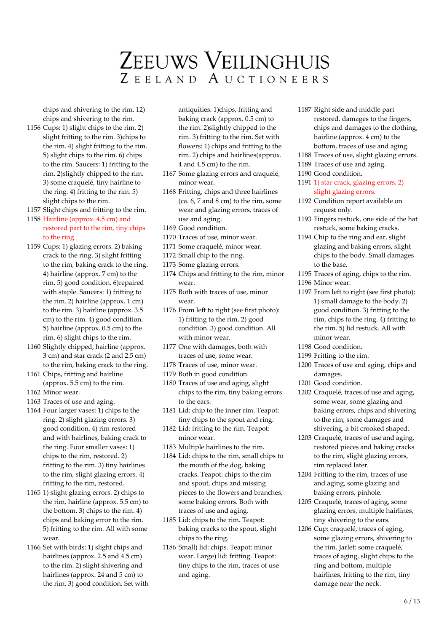chips and shivering to the rim. 12) chips and shivering to the rim.

1156 Cups: 1) slight chips to the rim. 2) slight fritting to the rim. 3)chips to the rim. 4) slight fritting to the rim. 5) slight chips to the rim. 6) chips to the rim. Saucers: 1) fritting to the rim. 2)slightly chipped to the rim. 3) some craquelé, tiny hairline to the ring. 4) fritting to the rim. 5) slight chips to the rim.

1157 Slight chips and fritting to the rim.

#### 1158 Hairline (approx. 4.5 cm) and restored part to the rim, tiny chips to the ring.

- 1159 Cups: 1) glazing errors. 2) baking crack to the ring. 3) slight fritting to the rim, baking crack to the ring. 4) hairline (approx. 7 cm) to the rim. 5) good condition. 6)repaired with staple. Saucers: 1) fritting to the rim. 2) hairline (approx. 1 cm) to the rim. 3) hairline (approx. 3.5 cm) to the rim. 4) good condition. 5) hairline (approx. 0.5 cm) to the rim. 6) slight chips to the rim.
- 1160 Slightly chipped, hairline (approx. 3 cm) and star crack (2 and 2.5 cm) to the rim, baking crack to the ring.
- 1161 Chips, fritting and hairline (approx. 5.5 cm) to the rim.
- 1162 Minor wear.
- 1163 Traces of use and aging.
- 1164 Four larger vases: 1) chips to the ring. 2) slight glazing errors. 3) good condition. 4) rim restored and with hairlines, baking crack to the ring. Four smaller vases: 1) chips to the rim, restored. 2) fritting to the rim. 3) tiny hairlines to the rim, slight glazing errors. 4) fritting to the rim, restored.
- 1165 1) slight glazing errors. 2) chips to the rim, hairline (approx. 5.5 cm) to the bottom. 3) chips to the rim. 4) chips and baking error to the rim. 5) fritting to the rim. All with some wear.
- 1166 Set with birds: 1) slight chips and hairlines (approx. 2.5 and 4.5 cm) to the rim. 2) slight shivering and hairlines (approx. 24 and 5 cm) to the rim. 3) good condition. Set with

antiquities: 1)chips, fritting and baking crack (approx. 0.5 cm) to the rim. 2)slightly chipped to the rim. 3) fritting to the rim. Set with flowers: 1) chips and fritting to the rim. 2) chips and hairlines(approx. 4 and 4.5 cm) to the rim.

- 1167 Some glazing errors and craquelé, minor wear.
- 1168 Fritting, chips and three hairlines (ca. 6, 7 and 8 cm) to the rim, some wear and glazing errors, traces of use and aging.
- 1169 Good condition.
- 1170 Traces of use, minor wear.
- 1171 Some craquelé, minor wear.
- 1172 Small chip to the ring.
- 1173 Some glazing errors.
- 1174 Chips and fritting to the rim, minor wear.
- 1175 Both with traces of use, minor wear.
- 1176 From left to right (see first photo): 1) fritting to the rim. 2) good condition. 3) good condition. All with minor wear.
- 1177 One with damages, both with traces of use, some wear.
- 1178 Traces of use, minor wear.
- 1179 Both in good condition.
- 1180 Traces of use and aging, slight chips to the rim, tiny baking errors to the ears.
- 1181 Lid: chip to the inner rim. Teapot: tiny chips to the spout and ring.
- 1182 Lid: fritting to the rim. Teapot: minor wear.
- 1183 Multiple hairlines to the rim.
- 1184 Lid: chips to the rim, small chips to the mouth of the dog, baking cracks. Teapot: chips to the rim and spout, chips and missing pieces to the flowers and branches, some baking errors. Both with traces of use and aging.
- 1185 Lid: chips to the rim. Teapot: baking cracks to the spout, slight chips to the ring.
- 1186 Small) lid: chips. Teapot: minor wear. Large) lid: fritting. Teapot: tiny chips to the rim, traces of use and aging.
- 1187 Right side and middle part restored, damages to the fingers, chips and damages to the clothing, hairline (approx. 4 cm) to the bottom, traces of use and aging.
- 1188 Traces of use, slight glazing errors.
- 1189 Traces of use and aging.
- 1190 Good condition.
- 1191 1) star crack, glazing errors. 2) slight glazing errors.
- 1192 Condition report available on request only.
- 1193 Fingers restuck, one side of the hat restuck, some baking cracks.
- 1194 Chip to the ring and ear, slight glazing and baking errors, slight chips to the body. Small damages to the base.
- 1195 Traces of aging, chips to the rim.
- 1196 Minor wear.
- 1197 From left to right (see first photo): 1) small damage to the body. 2) good condition. 3) fritting to the rim, chips to the ring. 4) fritting to the rim. 5) lid restuck. All with minor wear.
- 1198 Good condition.
- 1199 Fritting to the rim.
- 1200 Traces of use and aging, chips and damages.
- 1201 Good condition.
- 1202 Craquelé, traces of use and aging, some wear, some glazing and baking errors, chips and shivering to the rim, some damages and shivering, a bit crooked shaped.
- 1203 Craquelé, traces of use and aging, restored pieces and baking cracks to the rim, slight glazing errors, rim replaced later.
- 1204 Fritting to the rim, traces of use and aging, some glazing and baking errors, pinhole.
- 1205 Craquelé, traces of aging, some glazing errors, multiple hairlines, tiny shivering to the ears.
- 1206 Cup: craquelé, traces of aging, some glazing errors, shivering to the rim. Jarlet: some craquelé, traces of aging, slight chips to the ring and bottom, multiple hairlines, fritting to the rim, tiny damage near the neck.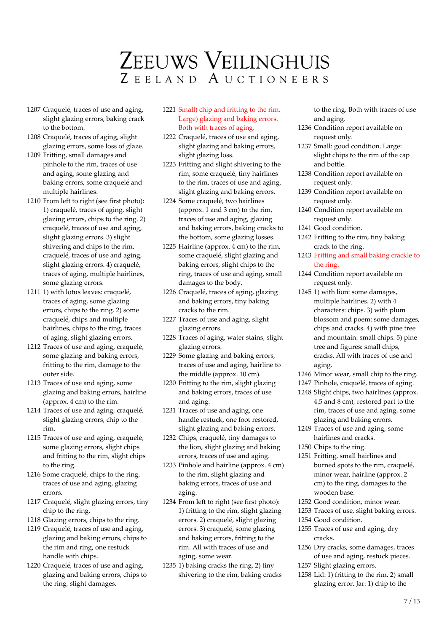- 1207 Craquelé, traces of use and aging, slight glazing errors, baking crack to the bottom.
- 1208 Craquelé, traces of aging, slight glazing errors, some loss of glaze.
- 1209 Fritting, small damages and pinhole to the rim, traces of use and aging, some glazing and baking errors, some craquelé and multiple hairlines.
- 1210 From left to right (see first photo): 1) craquelé, traces of aging, slight glazing errors, chips to the ring. 2) craquelé, traces of use and aging, slight glazing errors. 3) slight shivering and chips to the rim, craquelé, traces of use and aging, slight glazing errors. 4) craquelé, traces of aging, multiple hairlines, some glazing errors.
- 1211 1) with lotus leaves: craquelé, traces of aging, some glazing errors, chips to the ring. 2) some craquelé, chips and multiple hairlines, chips to the ring, traces of aging, slight glazing errors.
- 1212 Traces of use and aging, craquelé, some glazing and baking errors, fritting to the rim, damage to the outer side.
- 1213 Traces of use and aging, some glazing and baking errors, hairline (approx. 4 cm) to the rim.
- 1214 Traces of use and aging, craquelé, slight glazing errors, chip to the rim.
- 1215 Traces of use and aging, craquelé, some glazing errors, slight chips and fritting to the rim, slight chips to the ring.
- 1216 Some craquelé, chips to the ring, traces of use and aging, glazing errors.
- 1217 Craquelé, slight glazing errors, tiny chip to the ring.
- 1218 Glazing errors, chips to the ring.
- 1219 Craquelé, traces of use and aging, glazing and baking errors, chips to the rim and ring, one restuck handle with chips.
- 1220 Craquelé, traces of use and aging, glazing and baking errors, chips to the ring, slight damages.
- 1221 Small) chip and fritting to the rim. Large) glazing and baking errors. Both with traces of aging.
- 1222 Craquelé, traces of use and aging, slight glazing and baking errors, slight glazing loss.
- 1223 Fritting and slight shivering to the rim, some craquelé, tiny hairlines to the rim, traces of use and aging, slight glazing and baking errors.
- 1224 Some craquelé, two hairlines (approx. 1 and 3 cm) to the rim, traces of use and aging, glazing and baking errors, baking cracks to the bottom, some glazing losses.
- 1225 Hairline (approx. 4 cm) to the rim, some craquelé, slight glazing and baking errors, slight chips to the ring, traces of use and aging, small damages to the body.
- 1226 Craquelé, traces of aging, glazing and baking errors, tiny baking cracks to the rim.
- 1227 Traces of use and aging, slight glazing errors.
- 1228 Traces of aging, water stains, slight glazing errors.
- 1229 Some glazing and baking errors, traces of use and aging, hairline to the middle (approx. 10 cm).
- 1230 Fritting to the rim, slight glazing and baking errors, traces of use and aging.
- 1231 Traces of use and aging, one handle restuck, one foot restored, slight glazing and baking errors.
- 1232 Chips, craquelé, tiny damages to the lion, slight glazing and baking errors, traces of use and aging.
- 1233 Pinhole and hairline (approx. 4 cm) to the rim, slight glazing and baking errors, traces of use and aging.
- 1234 From left to right (see first photo): 1) fritting to the rim, slight glazing errors. 2) craquelé, slight glazing errors. 3) craquelé, some glazing and baking errors, fritting to the rim. All with traces of use and aging, some wear.
- 1235 1) baking cracks the ring. 2) tiny shivering to the rim, baking cracks

to the ring. Both with traces of use and aging.

- 1236 Condition report available on request only.
- 1237 Small: good condition. Large: slight chips to the rim of the cap and bottle.
- 1238 Condition report available on request only.
- 1239 Condition report available on request only.
- 1240 Condition report available on request only.
- 1241 Good condition.
- 1242 Fritting to the rim, tiny baking crack to the ring.
- 1243 Fritting and small baking crackle to the ring.
- 1244 Condition report available on request only.
- 1245 1) with lion: some damages, multiple hairlines. 2) with 4 characters: chips. 3) with plum blossom and poem: some damages, chips and cracks. 4) with pine tree and mountain: small chips. 5) pine tree and figures: small chips, cracks. All with traces of use and aging.
- 1246 Minor wear, small chip to the ring.
- 1247 Pinhole, craquelé, traces of aging.
- 1248 Slight chips, two hairlines (approx. 4.5 and 8 cm), restored part to the rim, traces of use and aging, some glazing and baking errors.
- 1249 Traces of use and aging, some hairlines and cracks.
- 1250 Chips to the ring.
- 1251 Fritting, small hairlines and burned spots to the rim, craquelé, minor wear, hairline (approx. 2 cm) to the ring, damages to the wooden base.
- 1252 Good condition, minor wear.
- 1253 Traces of use, slight baking errors.
- 1254 Good condition.
- 1255 Traces of use and aging, dry cracks.
- 1256 Dry cracks, some damages, traces of use and aging, restuck pieces.
- 1257 Slight glazing errors.
- 1258 Lid: 1) fritting to the rim. 2) small glazing error. Jar: 1) chip to the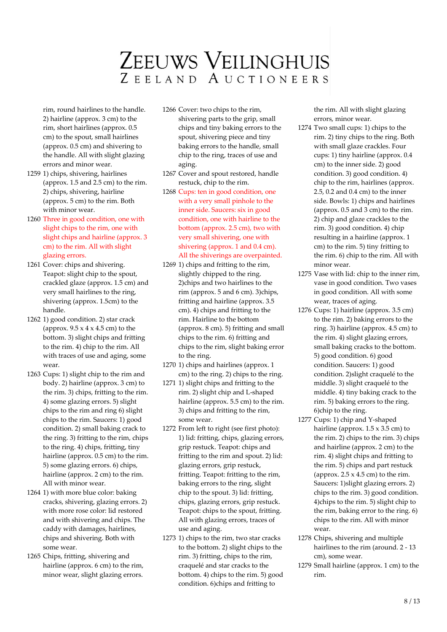rim, round hairlines to the handle. 2) hairline (approx. 3 cm) to the rim, short hairlines (approx. 0.5 cm) to the spout, small hairlines (approx. 0.5 cm) and shivering to the handle. All with slight glazing errors and minor wear.

- 1259 1) chips, shivering, hairlines (approx. 1.5 and 2.5 cm) to the rim. 2) chips, shivering, hairline (approx. 5 cm) to the rim. Both with minor wear.
- 1260 Three in good condition, one with slight chips to the rim, one with slight chips and hairline (approx. 3 cm) to the rim. All with slight glazing errors.
- 1261 Cover: chips and shivering. Teapot: slight chip to the spout, crackled glaze (approx. 1.5 cm) and very small hairlines to the ring, shivering (approx. 1.5cm) to the handle.
- 1262 1) good condition. 2) star crack (approx.  $9.5 \times 4 \times 4.5$  cm) to the bottom. 3) slight chips and fritting to the rim. 4) chip to the rim. All with traces of use and aging, some wear.
- 1263 Cups: 1) slight chip to the rim and body. 2) hairline (approx. 3 cm) to the rim. 3) chips, fritting to the rim. 4) some glazing errors. 5) slight chips to the rim and ring 6) slight chips to the rim. Saucers: 1) good condition. 2) small baking crack to the ring. 3) fritting to the rim, chips to the ring. 4) chips, fritting, tiny hairline (approx. 0.5 cm) to the rim. 5) some glazing errors. 6) chips, hairline (approx. 2 cm) to the rim. All with minor wear.
- 1264 1) with more blue color: baking cracks, shivering, glazing errors. 2) with more rose color: lid restored and with shivering and chips. The caddy with damages, hairlines, chips and shivering. Both with some wear.
- 1265 Chips, fritting, shivering and hairline (approx. 6 cm) to the rim, minor wear, slight glazing errors.
- 1266 Cover: two chips to the rim, shivering parts to the grip, small chips and tiny baking errors to the spout, shivering piece and tiny baking errors to the handle, small chip to the ring, traces of use and aging.
- 1267 Cover and spout restored, handle restuck, chip to the rim.
- 1268 Cups: ten in good condition, one with a very small pinhole to the inner side. Saucers: six in good condition, one with hairline to the bottom (approx. 2.5 cm), two with very small shivering, one with shivering (approx. 1 and 0.4 cm). All the shiverings are overpainted.
- 1269 1) chips and fritting to the rim, slightly chipped to the ring. 2)chips and two hairlines to the rim (approx. 5 and 6 cm). 3)chips, fritting and hairline (approx. 3.5 cm). 4) chips and fritting to the rim. Hairline to the bottom (approx. 8 cm). 5) fritting and small chips to the rim. 6) fritting and chips to the rim, slight baking error to the ring.
- 1270 1) chips and hairlines (approx. 1 cm) to the ring. 2) chips to the ring.
- 1271 1) slight chips and fritting to the rim. 2) slight chip and L-shaped hairline (approx. 5.5 cm) to the rim. 3) chips and fritting to the rim, some wear.
- 1272 From left to right (see first photo): 1) lid: fritting, chips, glazing errors, grip restuck. Teapot: chips and fritting to the rim and spout. 2) lid: glazing errors, grip restuck, fritting. Teapot: fritting to the rim, baking errors to the ring, slight chip to the spout. 3) lid: fritting, chips, glazing errors, grip restuck. Teapot: chips to the spout, fritting. All with glazing errors, traces of use and aging.
- 1273 1) chips to the rim, two star cracks to the bottom. 2) slight chips to the rim. 3) fritting, chips to the rim, craquelé and star cracks to the bottom. 4) chips to the rim. 5) good condition. 6)chips and fritting to

the rim. All with slight glazing errors, minor wear.

- 1274 Two small cups: 1) chips to the rim. 2) tiny chips to the ring. Both with small glaze crackles. Four cups: 1) tiny hairline (approx. 0.4 cm) to the inner side. 2) good condition. 3) good condition. 4) chip to the rim, hairlines (approx. 2.5, 0.2 and 0.4 cm) to the inner side. Bowls: 1) chips and hairlines (approx. 0.5 and 3 cm) to the rim. 2) chip and glaze crackles to the rim. 3) good condition. 4) chip resulting in a hairline (approx. 1 cm) to the rim. 5) tiny fritting to the rim. 6) chip to the rim. All with minor wear.
- 1275 Vase with lid: chip to the inner rim, vase in good condition. Two vases in good condition. All with some wear, traces of aging.
- 1276 Cups: 1) hairline (approx. 3.5 cm) to the rim. 2) baking errors to the ring. 3) hairline (approx. 4.5 cm) to the rim. 4) slight glazing errors, small baking cracks to the bottom. 5) good condition. 6) good condition. Saucers: 1) good condition. 2)slight craquelé to the middle. 3) slight craquelé to the middle. 4) tiny baking crack to the rim. 5) baking errors to the ring. 6)chip to the ring.
- 1277 Cups: 1) chip and Y-shaped hairline (approx.  $1.5 \times 3.5$  cm) to the rim. 2) chips to the rim. 3) chips and hairline (approx. 2 cm) to the rim. 4) slight chips and fritting to the rim. 5) chips and part restuck (approx.  $2.5 \times 4.5$  cm) to the rim. Saucers: 1)slight glazing errors. 2) chips to the rim. 3) good condition. 4)chips to the rim. 5) slight chip to the rim, baking error to the ring. 6) chips to the rim. All with minor wear.
- 1278 Chips, shivering and multiple hairlines to the rim (around. 2 - 13 cm), some wear.
- 1279 Small hairline (approx. 1 cm) to the rim.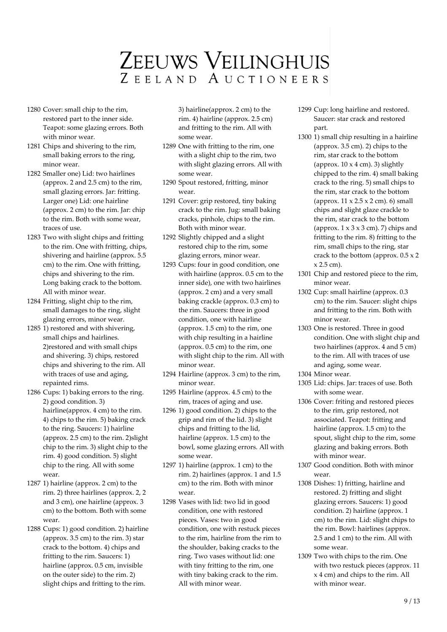- 1280 Cover: small chip to the rim, restored part to the inner side. Teapot: some glazing errors. Both with minor wear.
- 1281 Chips and shivering to the rim, small baking errors to the ring, minor wear.
- 1282 Smaller one) Lid: two hairlines (approx. 2 and 2.5 cm) to the rim, small glazing errors. Jar: fritting. Larger one) Lid: one hairline (approx. 2 cm) to the rim. Jar: chip to the rim. Both with some wear, traces of use.
- 1283 Two with slight chips and fritting to the rim. One with fritting, chips, shivering and hairline (approx. 5.5 cm) to the rim. One with fritting, chips and shivering to the rim. Long baking crack to the bottom. All with minor wear.
- 1284 Fritting, slight chip to the rim, small damages to the ring, slight glazing errors, minor wear.
- 1285 1) restored and with shivering, small chips and hairlines. 2)restored and with small chips and shivering. 3) chips, restored chips and shivering to the rim. All with traces of use and aging, repainted rims.
- 1286 Cups: 1) baking errors to the ring. 2) good condition. 3) hairline(approx. 4 cm) to the rim. 4) chips to the rim. 5) baking crack to the ring. Saucers: 1) hairline (approx. 2.5 cm) to the rim. 2)slight chip to the rim. 3) slight chip to the rim. 4) good condition. 5) slight chip to the ring. All with some wear.
- 1287 1) hairline (approx. 2 cm) to the rim. 2) three hairlines (approx. 2, 2 and 3 cm), one hairline (approx. 3 cm) to the bottom. Both with some wear.
- 1288 Cups: 1) good condition. 2) hairline (approx. 3.5 cm) to the rim. 3) star crack to the bottom. 4) chips and fritting to the rim. Saucers: 1) hairline (approx. 0.5 cm, invisible on the outer side) to the rim. 2) slight chips and fritting to the rim.

3) hairline(approx. 2 cm) to the rim. 4) hairline (approx. 2.5 cm) and fritting to the rim. All with some wear.

- 1289 One with fritting to the rim, one with a slight chip to the rim, two with slight glazing errors. All with some wear.
- 1290 Spout restored, fritting, minor wear.
- 1291 Cover: grip restored, tiny baking crack to the rim. Jug: small baking cracks, pinhole, chips to the rim. Both with minor wear.
- 1292 Slightly chipped and a slight restored chip to the rim, some glazing errors, minor wear.
- 1293 Cups: four in good condition, one with hairline (approx. 0.5 cm to the inner side), one with two hairlines (approx. 2 cm) and a very small baking crackle (approx. 0.3 cm) to the rim. Saucers: three in good condition, one with hairline (approx. 1.5 cm) to the rim, one with chip resulting in a hairline (approx. 0.5 cm) to the rim, one with slight chip to the rim. All with minor wear.
- 1294 Hairline (approx. 3 cm) to the rim, minor wear.
- 1295 Hairline (approx. 4.5 cm) to the rim, traces of aging and use.
- 1296 1) good condition. 2) chips to the grip and rim of the lid. 3) slight chips and fritting to the lid, hairline (approx. 1.5 cm) to the bowl, some glazing errors. All with some wear.
- 1297 1) hairline (approx. 1 cm) to the rim. 2) hairlines (approx. 1 and 1.5 cm) to the rim. Both with minor wear.
- 1298 Vases with lid: two lid in good condition, one with restored pieces. Vases: two in good condition, one with restuck pieces to the rim, hairline from the rim to the shoulder, baking cracks to the ring. Two vases without lid: one with tiny fritting to the rim, one with tiny baking crack to the rim. All with minor wear.
- 1299 Cup: long hairline and restored. Saucer: star crack and restored part.
- 1300 1) small chip resulting in a hairline (approx. 3.5 cm). 2) chips to the rim, star crack to the bottom (approx.  $10 \times 4$  cm). 3) slightly chipped to the rim. 4) small baking crack to the ring. 5) small chips to the rim, star crack to the bottom (approx.  $11 \times 2.5 \times 2$  cm). 6) small chips and slight glaze crackle to the rim, star crack to the bottom (approx.  $1 \times 3 \times 3$  cm). 7) chips and fritting to the rim. 8) fritting to the rim, small chips to the ring, star crack to the bottom (approx. 0.5 x 2 x 2.5 cm).
- 1301 Chip and restored piece to the rim, minor wear.
- 1302 Cup: small hairline (approx. 0.3 cm) to the rim. Saucer: slight chips and fritting to the rim. Both with minor wear.
- 1303 One is restored. Three in good condition. One with slight chip and two hairlines (approx. 4 and 5 cm) to the rim. All with traces of use and aging, some wear.
- 1304 Minor wear.
- 1305 Lid: chips. Jar: traces of use. Both with some wear.
- 1306 Cover: friting and restored pieces to the rim, grip restored, not associated. Teapot: fritting and hairline (approx. 1.5 cm) to the spout, slight chip to the rim, some glazing and baking errors. Both with minor wear.
- 1307 Good condition. Both with minor wear.
- 1308 Dishes: 1) fritting, hairline and restored. 2) fritting and slight glazing errors. Saucers: 1) good condition. 2) hairline (approx. 1 cm) to the rim. Lid: slight chips to the rim. Bowl: hairlines (approx. 2.5 and 1 cm) to the rim. All with some wear.
- 1309 Two with chips to the rim. One with two restuck pieces (approx. 11 x 4 cm) and chips to the rim. All with minor wear.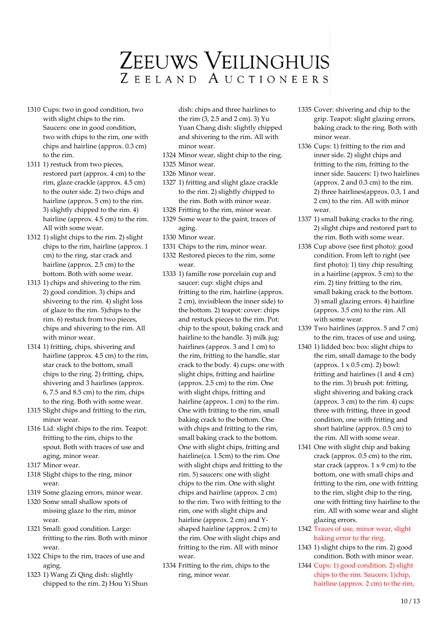- 1310 Cups: two in good condition, two with slight chips to the rim. Saucers: one in good condition, two with chips to the rim, one with chips and hairline (approx. 0.3 cm) to the rim.
- 1311 1) restuck from two pieces, restored part (approx. 4 cm) to the rim, glaze crackle (approx. 4.5 cm) to the outer side. 2) two chips and hairline (approx. 5 cm) to the rim. 3) slightly chipped to the rim. 4) hairline (approx. 4.5 cm) to the rim. All with some wear.
- 1312 1) slight chips to the rim. 2) slight chips to the rim, hairline (approx. 1 cm) to the ring, star crack and hairline (approx. 2.5 cm) to the bottom. Both with some wear.
- 1313 1) chips and shivering to the rim. 2) good condition. 3) chips and shivering to the rim. 4) slight loss of glaze to the rim. 5)chips to the rim. 6) restuck from two pieces, chips and shivering to the rim. All with minor wear.
- 1314 1) fritting, chips, shivering and hairline (approx. 4.5 cm) to the rim, star crack to the bottom, small chips to the ring. 2) fritting, chips, shivering and 3 hairlines (approx.  $6, 7.5$  and  $8.5$  cm) to the rim, chips to the ring. Both with some wear.
- 1315 Slight chips and fritting to the rim, minor wear.
- 1316 Lid: slight chips to the rim. Teapot: fritting to the rim, chips to the spout. Both with traces of use and aging, minor wear.
- 1317 Minor wear.
- 1318 Slight chips to the ring, minor wear.
- 1319 Some glazing errors, minor wear.
- 1320 Some small shallow spots of missing glaze to the rim, minor wear.
- 1321 Small: good condition. Large: fritting to the rim. Both with minor wear.
- 1322 Chips to the rim, traces of use and aging.
- 1323 1) Wang Zi Qing dish: slightly chipped to the rim. 2) Hou Yi Shun

dish: chips and three hairlines to the rim (3, 2.5 and 2 cm). 3) Yu Yuan Chang dish: slightly chipped and shivering to the rim. All with minor wear.

- 1324 Minor wear, slight chip to the ring.
- 1325 Minor wear. 1326 Minor wear.
- 1327 1) fritting and slight glaze crackle to the rim. 2) slightly chipped to the rim. Both with minor wear.
- 1328 Fritting to the rim, minor wear.
- 1329 Some wear to the paint, traces of aging.
- 1330 Minor wear.
- 1331 Chips to the rim, minor wear.
- 1332 Restored pieces to the rim, some wear.
- 1333 1) famille rose porcelain cup and saucer: cup: slight chips and fritting to the rim, hairline (approx. 2 cm), invisibleon the inner side) to the bottom. 2) teapot: cover: chips and restuck pieces to the rim. Pot: chip to the spout, baking crack and hairline to the handle. 3) milk jug: hairlines (approx. 3 and 1 cm) to the rim, fritting to the handle, star crack to the body. 4) cups: one with slight chips, fritting and hairline (approx. 2.5 cm) to the rim. One with slight chips, fritting and hairline (approx. 1 cm) to the rim. One with fritting to the rim, small baking crack to the bottom. One with chips and fritting to the rim, small baking crack to the bottom. One with slight chips, fritting and hairline(ca. 1.5cm) to the rim. One with slight chips and fritting to the rim. 5) saucers: one with slight chips to the rim. One with slight chips and hairline (approx. 2 cm) to the rim. Two with fritting to the rim, one with slight chips and hairline (approx. 2 cm) and Yshaped hairline (approx. 2 cm) to the rim. One with slight chips and fritting to the rim. All with minor wear.
- 1334 Fritting to the rim, chips to the ring, minor wear.
- 1335 Cover: shivering and chip to the grip. Teapot: slight glazing errors, baking crack to the ring. Both with minor wear.
- 1336 Cups: 1) fritting to the rim and inner side. 2) slight chips and fritting to the rim, fritting to the inner side. Saucers: 1) two hairlines (approx. 2 and 0.3 cm) to the rim. 2) three hairlines(approx. 0.3, 1 and 2 cm) to the rim. All with minor wear.
- 1337 1) small baking cracks to the ring. 2) slight chips and restored part to the rim. Both with some wear.
- 1338 Cup above (see first photo): good condition. From left to right (see first photo): 1) tiny chip resulting in a hairline (approx. 5 cm) to the rim. 2) tiny fritting to the rim, small baking crack to the bottom. 3) small glazing errors. 4) hairline (approx. 3.5 cm) to the rim. All with some wear.
- 1339 Two hairlines (approx. 5 and 7 cm) to the rim, traces of use and using.
- 1340 1) lidded box: box: slight chips to the rim, small damage to the body (approx. 1 x 0.5 cm). 2) bowl: fritting and hairlines (1 and 4 cm) to the rim. 3) brush pot: fritting, slight shivering and baking crack (approx. 3 cm) to the rim. 4) cups: three with fritting, three in good condition, one with fritting and short hairline (approx. 0.5 cm) to the rim. All with some wear.
- 1341 One with slight chip and baking crack (approx. 0.5 cm) to the rim, star crack (approx.  $1 \times 9$  cm) to the bottom, one with small chips and fritting to the rim, one with fritting to the rim, slight chip to the ring, one with fritting tiny hairline to the rim. All with some wear and slight glazing errors.
- 1342 Traces of use, minor wear, slight baking error to the ring.
- 1343 1) slight chips to the rim. 2) good condition. Both with minor wear.
- 1344 Cups: 1) good condition. 2) slight chips to the rim. Saucers: 1)chip, hairline (approx. 2 cm) to the rim,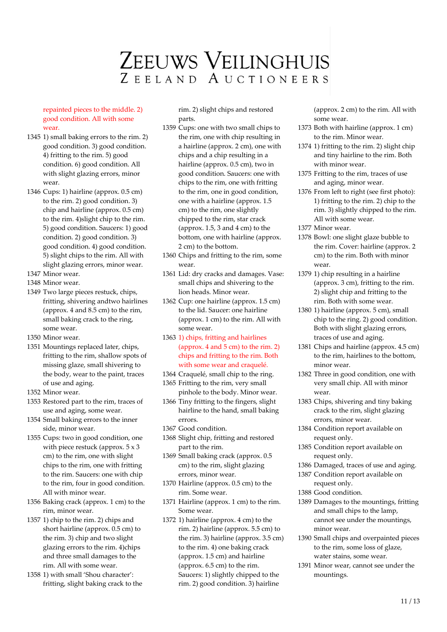repainted pieces to the middle. 2) good condition. All with some wear.

- 1345 1) small baking errors to the rim. 2) good condition. 3) good condition. 4) fritting to the rim. 5) good condition. 6) good condition. All with slight glazing errors, minor wear.
- 1346 Cups: 1) hairline (approx. 0.5 cm) to the rim. 2) good condition. 3) chip and hairline (approx. 0.5 cm) to the rim. 4)slight chip to the rim. 5) good condition. Saucers: 1) good condition. 2) good condition. 3) good condition. 4) good condition. 5) slight chips to the rim. All with slight glazing errors, minor wear.
- 1347 Minor wear.
- 1348 Minor wear.
- 1349 Two large pieces restuck, chips, fritting, shivering andtwo hairlines (approx. 4 and 8.5 cm) to the rim, small baking crack to the ring, some wear.
- 1350 Minor wear.
- 1351 Mountings replaced later, chips, fritting to the rim, shallow spots of missing glaze, small shivering to the body, wear to the paint, traces of use and aging.
- 1352 Minor wear.
- 1353 Restored part to the rim, traces of use and aging, some wear.
- 1354 Small baking errors to the inner side, minor wear.
- 1355 Cups: two in good condition, one with piece restuck (approx. 5 x 3 cm) to the rim, one with slight chips to the rim, one with fritting to the rim. Saucers: one with chip to the rim, four in good condition. All with minor wear.
- 1356 Baking crack (approx. 1 cm) to the rim, minor wear.
- 1357 1) chip to the rim. 2) chips and short hairline (approx. 0.5 cm) to the rim. 3) chip and two slight glazing errors to the rim. 4)chips and three small damages to the rim. All with some wear.
- 1358 1) with small 'Shou character': fritting, slight baking crack to the

rim. 2) slight chips and restored parts.

- 1359 Cups: one with two small chips to the rim, one with chip resulting in a hairline (approx. 2 cm), one with chips and a chip resulting in a hairline (approx. 0.5 cm), two in good condition. Saucers: one with chips to the rim, one with fritting to the rim, one in good condition, one with a hairline (approx. 1.5 cm) to the rim, one slightly chipped to the rim, star crack (approx. 1.5, 3 and 4 cm) to the bottom, one with hairline (approx. 2 cm) to the bottom.
- 1360 Chips and fritting to the rim, some wear.
- 1361 Lid: dry cracks and damages. Vase: small chips and shivering to the lion heads. Minor wear.
- 1362 Cup: one hairline (approx. 1.5 cm) to the lid. Saucer: one hairline (approx. 1 cm) to the rim. All with some wear.
- 1363 1) chips, fritting and hairlines (approx. 4 and 5 cm) to the rim. 2) chips and fritting to the rim. Both with some wear and craquelé.
- 1364 Craquelé, small chip to the ring. 1365 Fritting to the rim, very small
- pinhole to the body. Minor wear. 1366 Tiny fritting to the fingers, slight
- hairline to the hand, small baking errors.
- 1367 Good condition.
- 1368 Slight chip, fritting and restored part to the rim.
- 1369 Small baking crack (approx. 0.5 cm) to the rim, slight glazing errors, minor wear.
- 1370 Hairline (approx. 0.5 cm) to the rim. Some wear.
- 1371 Hairline (approx. 1 cm) to the rim. Some wear.
- 1372 1) hairline (approx. 4 cm) to the rim. 2) hairline (approx. 5.5 cm) to the rim. 3) hairline (approx. 3.5 cm) to the rim. 4) one baking crack (approx. 1.5 cm) and hairline (approx. 6.5 cm) to the rim. Saucers: 1) slightly chipped to the rim. 2) good condition. 3) hairline

(approx. 2 cm) to the rim. All with some wear.

- 1373 Both with hairline (approx. 1 cm) to the rim. Minor wear.
- 1374 1) fritting to the rim. 2) slight chip and tiny hairline to the rim. Both with minor wear.
- 1375 Fritting to the rim, traces of use and aging, minor wear.
- 1376 From left to right (see first photo): 1) fritting to the rim. 2) chip to the rim. 3) slightly chipped to the rim. All with some wear.
- 1377 Minor wear.
- 1378 Bowl: one slight glaze bubble to the rim. Cover: hairline (approx. 2 cm) to the rim. Both with minor wear.
- 1379 1) chip resulting in a hairline (approx. 3 cm), fritting to the rim. 2) slight chip and fritting to the rim. Both with some wear.
- 1380 1) hairline (approx. 5 cm), small chip to the ring. 2) good condition. Both with slight glazing errors, traces of use and aging.
- 1381 Chips and hairline (approx. 4.5 cm) to the rim, hairlines to the bottom, minor wear.
- 1382 Three in good condition, one with very small chip. All with minor wear.
- 1383 Chips, shivering and tiny baking crack to the rim, slight glazing errors, minor wear.
- 1384 Condition report available on request only.
- 1385 Condition report available on request only.
- 1386 Damaged, traces of use and aging.
- 1387 Condition report available on request only.
- 1388 Good condition.
- 1389 Damages to the mountings, fritting and small chips to the lamp, cannot see under the mountings, minor wear.
- 1390 Small chips and overpainted pieces to the rim, some loss of glaze, water stains, some wear.
- 1391 Minor wear, cannot see under the mountings.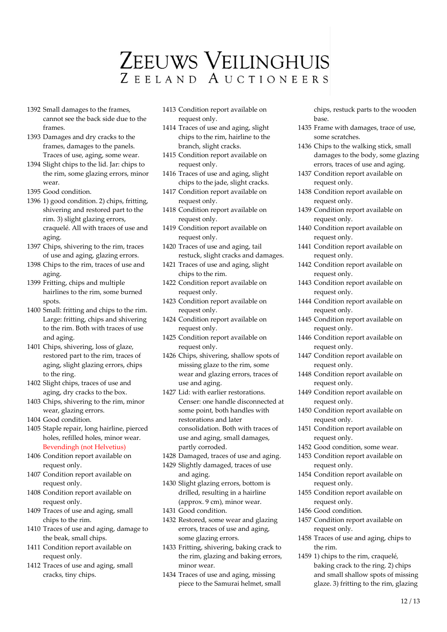- 1392 Small damages to the frames, cannot see the back side due to the frames.
- 1393 Damages and dry cracks to the frames, damages to the panels. Traces of use, aging, some wear.
- 1394 Slight chips to the lid. Jar: chips to the rim, some glazing errors, minor wear.
- 1395 Good condition.
- 1396 1) good condition. 2) chips, fritting, shivering and restored part to the rim. 3) slight glazing errors, craquelé. All with traces of use and aging.
- 1397 Chips, shivering to the rim, traces of use and aging, glazing errors.
- 1398 Chips to the rim, traces of use and aging.
- 1399 Fritting, chips and multiple hairlines to the rim, some burned spots.
- 1400 Small: fritting and chips to the rim. Large: fritting, chips and shivering to the rim. Both with traces of use and aging.
- 1401 Chips, shivering, loss of glaze, restored part to the rim, traces of aging, slight glazing errors, chips to the ring.
- 1402 Slight chips, traces of use and aging, dry cracks to the box.
- 1403 Chips, shivering to the rim, minor wear, glazing errors.
- 1404 Good condition.
- 1405 Staple repair, long hairline, pierced holes, refilled holes, minor wear. Bevendingh (not Helvetius)
- 1406 Condition report available on request only.
- 1407 Condition report available on request only.
- 1408 Condition report available on request only.
- 1409 Traces of use and aging, small chips to the rim.
- 1410 Traces of use and aging, damage to the beak, small chips.
- 1411 Condition report available on request only.
- 1412 Traces of use and aging, small cracks, tiny chips.
- 1413 Condition report available on request only.
- 1414 Traces of use and aging, slight chips to the rim, hairline to the branch, slight cracks.
- 1415 Condition report available on request only.
- 1416 Traces of use and aging, slight chips to the jade, slight cracks.
- 1417 Condition report available on request only.
- 1418 Condition report available on request only.
- 1419 Condition report available on request only.
- 1420 Traces of use and aging, tail restuck, slight cracks and damages.
- 1421 Traces of use and aging, slight chips to the rim.
- 1422 Condition report available on request only.
- 1423 Condition report available on request only.
- 1424 Condition report available on request only.
- 1425 Condition report available on request only.
- 1426 Chips, shivering, shallow spots of missing glaze to the rim, some wear and glazing errors, traces of use and aging.
- 1427 Lid: with earlier restorations. Censer: one handle disconnected at some point, both handles with restorations and later consolidation. Both with traces of use and aging, small damages, partly corroded.
- 1428 Damaged, traces of use and aging.
- 1429 Slightly damaged, traces of use and aging.
- 1430 Slight glazing errors, bottom is drilled, resulting in a hairline (approx. 9 cm), minor wear.
- 1431 Good condition.
- 1432 Restored, some wear and glazing errors, traces of use and aging, some glazing errors.
- 1433 Fritting, shivering, baking crack to the rim, glazing and baking errors, minor wear.
- 1434 Traces of use and aging, missing piece to the Samurai helmet, small

chips, restuck parts to the wooden base.

- 1435 Frame with damages, trace of use, some scratches.
- 1436 Chips to the walking stick, small damages to the body, some glazing errors, traces of use and aging.
- 1437 Condition report available on request only.
- 1438 Condition report available on request only.
- 1439 Condition report available on request only.
- 1440 Condition report available on request only.
- 1441 Condition report available on request only.
- 1442 Condition report available on request only.
- 1443 Condition report available on request only.
- 1444 Condition report available on request only.
- 1445 Condition report available on request only.
- 1446 Condition report available on request only.
- 1447 Condition report available on request only.
- 1448 Condition report available on request only.
- 1449 Condition report available on request only.
- 1450 Condition report available on request only.
- 1451 Condition report available on request only.
- 1452 Good condition, some wear.
- 1453 Condition report available on request only.
- 1454 Condition report available on request only.
- 1455 Condition report available on request only.
- 1456 Good condition.
- 1457 Condition report available on request only.
- 1458 Traces of use and aging, chips to the rim.
- 1459 1) chips to the rim, craquelé, baking crack to the ring. 2) chips and small shallow spots of missing glaze. 3) fritting to the rim, glazing